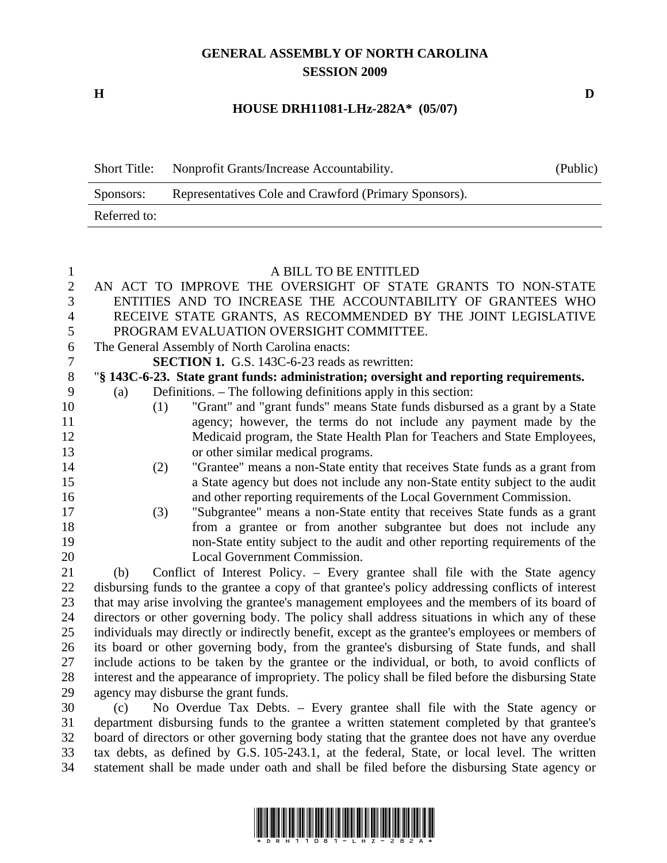## **GENERAL ASSEMBLY OF NORTH CAROLINA SESSION 2009**

**H D** 

## **HOUSE DRH11081-LHz-282A\* (05/07)**

| <b>Short Title:</b> | Nonprofit Grants/Increase Accountability.             | (Public) |
|---------------------|-------------------------------------------------------|----------|
| Sponsors:           | Representatives Cole and Crawford (Primary Sponsors). |          |
| Referred to:        |                                                       |          |

## 1 A BILL TO BE ENTITLED

| $\mathbf{2}$   | AN ACT TO IMPROVE THE OVERSIGHT OF STATE GRANTS TO NON-STATE                                                                                                   |  |  |
|----------------|----------------------------------------------------------------------------------------------------------------------------------------------------------------|--|--|
| $\mathfrak{Z}$ | ENTITIES AND TO INCREASE THE ACCOUNTABILITY OF GRANTEES WHO                                                                                                    |  |  |
| 4              | RECEIVE STATE GRANTS, AS RECOMMENDED BY THE JOINT LEGISLATIVE                                                                                                  |  |  |
| 5              | PROGRAM EVALUATION OVERSIGHT COMMITTEE.                                                                                                                        |  |  |
| 6              | The General Assembly of North Carolina enacts:                                                                                                                 |  |  |
| 7              | <b>SECTION 1.</b> G.S. 143C-6-23 reads as rewritten:                                                                                                           |  |  |
| 8              | "§ 143C-6-23. State grant funds: administration; oversight and reporting requirements.                                                                         |  |  |
| 9              | Definitions. – The following definitions apply in this section:<br>(a)                                                                                         |  |  |
| 10             | "Grant" and "grant funds" means State funds disbursed as a grant by a State<br>(1)                                                                             |  |  |
| 11             | agency; however, the terms do not include any payment made by the                                                                                              |  |  |
| 12             | Medicaid program, the State Health Plan for Teachers and State Employees,                                                                                      |  |  |
| 13             | or other similar medical programs.                                                                                                                             |  |  |
| 14             | "Grantee" means a non-State entity that receives State funds as a grant from<br>(2)                                                                            |  |  |
| 15             | a State agency but does not include any non-State entity subject to the audit                                                                                  |  |  |
| 16             | and other reporting requirements of the Local Government Commission.                                                                                           |  |  |
| 17             | "Subgrantee" means a non-State entity that receives State funds as a grant<br>(3)                                                                              |  |  |
| 18             | from a grantee or from another subgrantee but does not include any                                                                                             |  |  |
| 19             | non-State entity subject to the audit and other reporting requirements of the                                                                                  |  |  |
| 20             | Local Government Commission.                                                                                                                                   |  |  |
| 21             | Conflict of Interest Policy. – Every grantee shall file with the State agency<br>(b)                                                                           |  |  |
| 22             | disbursing funds to the grantee a copy of that grantee's policy addressing conflicts of interest                                                               |  |  |
| 23             | that may arise involving the grantee's management employees and the members of its board of                                                                    |  |  |
| 24             | directors or other governing body. The policy shall address situations in which any of these                                                                   |  |  |
| 25             | individuals may directly or indirectly benefit, except as the grantee's employees or members of                                                                |  |  |
| 26             | its board or other governing body, from the grantee's disbursing of State funds, and shall                                                                     |  |  |
| 27             | include actions to be taken by the grantee or the individual, or both, to avoid conflicts of                                                                   |  |  |
| 28             | interest and the appearance of impropriety. The policy shall be filed before the disbursing State                                                              |  |  |
| 29             | agency may disburse the grant funds.                                                                                                                           |  |  |
| $\Omega$       | $\Gamma$ are the second of the second $\Gamma$ and $\Gamma$ and $\Gamma$ are $\Gamma$ and $\Gamma$ are $\Gamma$<br>$\left( \cdot \right)$ M. Ominize The Delte |  |  |

30 (c) No Overdue Tax Debts. – Every grantee shall file with the State agency or 31 department disbursing funds to the grantee a written statement completed by that grantee's 32 board of directors or other governing body stating that the grantee does not have any overdue 33 tax debts, as defined by G.S. 105-243.1, at the federal, State, or local level. The written 34 statement shall be made under oath and shall be filed before the disbursing State agency or

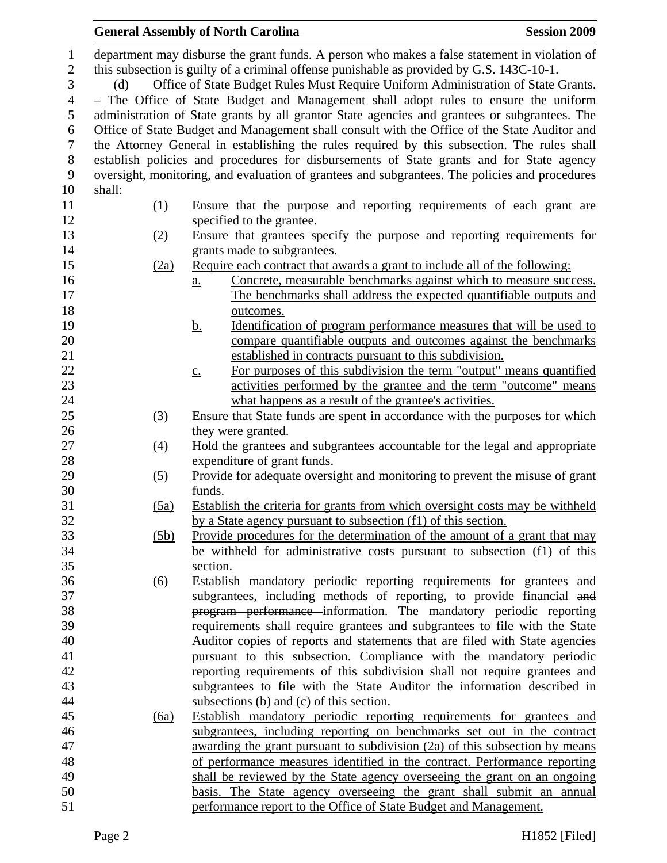| $\mathbf{1}$<br>$\sqrt{2}$ | department may disburse the grant funds. A person who makes a false statement in violation of                                                                                         |                                                                                                                                                    |  |  |  |  |
|----------------------------|---------------------------------------------------------------------------------------------------------------------------------------------------------------------------------------|----------------------------------------------------------------------------------------------------------------------------------------------------|--|--|--|--|
| 3                          | this subsection is guilty of a criminal offense punishable as provided by G.S. 143C-10-1.<br>Office of State Budget Rules Must Require Uniform Administration of State Grants.<br>(d) |                                                                                                                                                    |  |  |  |  |
| $\overline{4}$             |                                                                                                                                                                                       | - The Office of State Budget and Management shall adopt rules to ensure the uniform                                                                |  |  |  |  |
| 5                          |                                                                                                                                                                                       | administration of State grants by all grantor State agencies and grantees or subgrantees. The                                                      |  |  |  |  |
| 6                          |                                                                                                                                                                                       | Office of State Budget and Management shall consult with the Office of the State Auditor and                                                       |  |  |  |  |
| $\boldsymbol{7}$           |                                                                                                                                                                                       | the Attorney General in establishing the rules required by this subsection. The rules shall                                                        |  |  |  |  |
| $8\,$                      |                                                                                                                                                                                       | establish policies and procedures for disbursements of State grants and for State agency                                                           |  |  |  |  |
| 9                          |                                                                                                                                                                                       | oversight, monitoring, and evaluation of grantees and subgrantees. The policies and procedures                                                     |  |  |  |  |
| 10                         | shall:                                                                                                                                                                                |                                                                                                                                                    |  |  |  |  |
| 11                         | (1)                                                                                                                                                                                   | Ensure that the purpose and reporting requirements of each grant are                                                                               |  |  |  |  |
| 12                         |                                                                                                                                                                                       | specified to the grantee.                                                                                                                          |  |  |  |  |
| 13                         | (2)                                                                                                                                                                                   | Ensure that grantees specify the purpose and reporting requirements for                                                                            |  |  |  |  |
| 14                         |                                                                                                                                                                                       | grants made to subgrantees.                                                                                                                        |  |  |  |  |
| 15                         | (2a)                                                                                                                                                                                  | Require each contract that awards a grant to include all of the following:                                                                         |  |  |  |  |
| 16                         |                                                                                                                                                                                       | Concrete, measurable benchmarks against which to measure success.<br>$\underline{a}$ .                                                             |  |  |  |  |
| 17                         |                                                                                                                                                                                       | The benchmarks shall address the expected quantifiable outputs and                                                                                 |  |  |  |  |
| 18                         |                                                                                                                                                                                       | outcomes.                                                                                                                                          |  |  |  |  |
| 19                         |                                                                                                                                                                                       | <u>Identification of program performance measures that will be used to</u><br><u>b.</u>                                                            |  |  |  |  |
| 20                         |                                                                                                                                                                                       | compare quantifiable outputs and outcomes against the benchmarks                                                                                   |  |  |  |  |
| 21                         |                                                                                                                                                                                       | established in contracts pursuant to this subdivision.                                                                                             |  |  |  |  |
| 22                         |                                                                                                                                                                                       | For purposes of this subdivision the term "output" means quantified<br>$\underline{c}$ .                                                           |  |  |  |  |
| 23                         |                                                                                                                                                                                       | activities performed by the grantee and the term "outcome" means                                                                                   |  |  |  |  |
| 24                         |                                                                                                                                                                                       | what happens as a result of the grantee's activities.                                                                                              |  |  |  |  |
| 25                         | (3)                                                                                                                                                                                   | Ensure that State funds are spent in accordance with the purposes for which                                                                        |  |  |  |  |
| 26                         |                                                                                                                                                                                       | they were granted.                                                                                                                                 |  |  |  |  |
| 27                         | (4)                                                                                                                                                                                   | Hold the grantees and subgrantees accountable for the legal and appropriate                                                                        |  |  |  |  |
| 28                         |                                                                                                                                                                                       | expenditure of grant funds.                                                                                                                        |  |  |  |  |
| 29                         | (5)                                                                                                                                                                                   | Provide for adequate oversight and monitoring to prevent the misuse of grant                                                                       |  |  |  |  |
| 30                         |                                                                                                                                                                                       | funds.                                                                                                                                             |  |  |  |  |
| 31                         | (5a)                                                                                                                                                                                  | Establish the criteria for grants from which oversight costs may be withheld                                                                       |  |  |  |  |
| 32                         |                                                                                                                                                                                       | by a State agency pursuant to subsection (f1) of this section.                                                                                     |  |  |  |  |
| 33                         | (5b)                                                                                                                                                                                  | <u>Provide procedures for the determination of the amount of a grant that may</u>                                                                  |  |  |  |  |
| 34                         |                                                                                                                                                                                       | be withheld for administrative costs pursuant to subsection (f1) of this                                                                           |  |  |  |  |
| 35                         |                                                                                                                                                                                       | section.                                                                                                                                           |  |  |  |  |
| 36                         | (6)                                                                                                                                                                                   | Establish mandatory periodic reporting requirements for grantees and                                                                               |  |  |  |  |
| 37<br>38                   |                                                                                                                                                                                       | subgrantees, including methods of reporting, to provide financial and                                                                              |  |  |  |  |
| 39                         |                                                                                                                                                                                       | program performance information. The mandatory periodic reporting                                                                                  |  |  |  |  |
| 40                         |                                                                                                                                                                                       | requirements shall require grantees and subgrantees to file with the State                                                                         |  |  |  |  |
| 41                         |                                                                                                                                                                                       | Auditor copies of reports and statements that are filed with State agencies<br>pursuant to this subsection. Compliance with the mandatory periodic |  |  |  |  |
| 42                         |                                                                                                                                                                                       | reporting requirements of this subdivision shall not require grantees and                                                                          |  |  |  |  |
| 43                         |                                                                                                                                                                                       | subgrantees to file with the State Auditor the information described in                                                                            |  |  |  |  |
| 44                         |                                                                                                                                                                                       | subsections (b) and (c) of this section.                                                                                                           |  |  |  |  |
| 45                         | (6a)                                                                                                                                                                                  | Establish mandatory periodic reporting requirements for grantees and                                                                               |  |  |  |  |
| 46                         |                                                                                                                                                                                       | subgrantees, including reporting on benchmarks set out in the contract                                                                             |  |  |  |  |
| 47                         |                                                                                                                                                                                       | awarding the grant pursuant to subdivision (2a) of this subsection by means                                                                        |  |  |  |  |
| 48                         |                                                                                                                                                                                       | of performance measures identified in the contract. Performance reporting                                                                          |  |  |  |  |
| 49                         |                                                                                                                                                                                       | shall be reviewed by the State agency overseeing the grant on an ongoing                                                                           |  |  |  |  |
| 50                         |                                                                                                                                                                                       | basis. The State agency overseeing the grant shall submit an annual                                                                                |  |  |  |  |

General Assembly of North Carolina **Session 2009**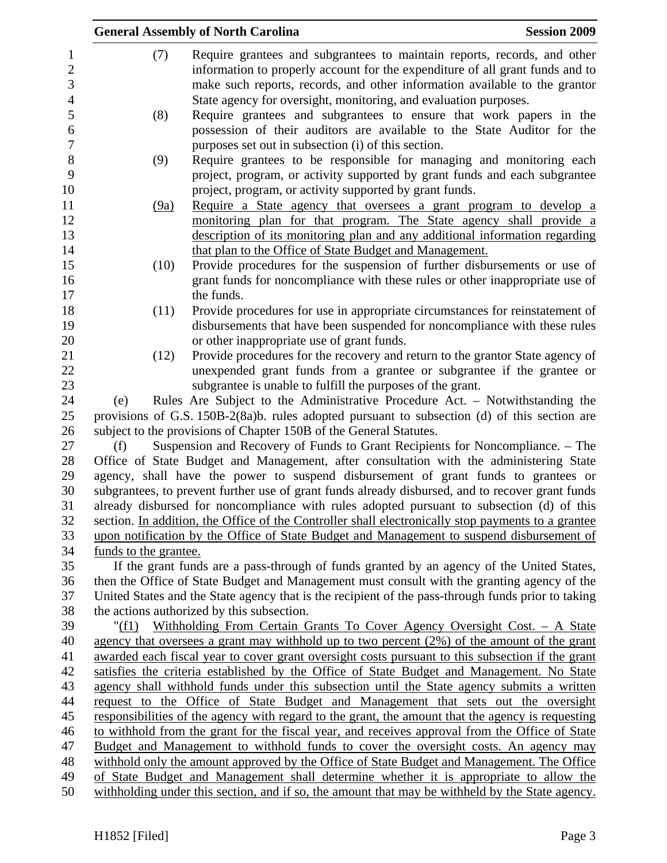|                                                       |                                                                                                   | <b>General Assembly of North Carolina</b>                                                                                                                                                                                                                                                                   | <b>Session 2009</b> |  |  |  |
|-------------------------------------------------------|---------------------------------------------------------------------------------------------------|-------------------------------------------------------------------------------------------------------------------------------------------------------------------------------------------------------------------------------------------------------------------------------------------------------------|---------------------|--|--|--|
| $\mathbf{1}$<br>$\overline{c}$<br>3<br>$\overline{4}$ | (7)                                                                                               | Require grantees and subgrantees to maintain reports, records, and other<br>information to properly account for the expenditure of all grant funds and to<br>make such reports, records, and other information available to the grantor<br>State agency for oversight, monitoring, and evaluation purposes. |                     |  |  |  |
| $\mathfrak s$<br>6                                    | (8)                                                                                               | Require grantees and subgrantees to ensure that work papers in the<br>possession of their auditors are available to the State Auditor for the                                                                                                                                                               |                     |  |  |  |
| $\boldsymbol{7}$                                      |                                                                                                   | purposes set out in subsection (i) of this section.                                                                                                                                                                                                                                                         |                     |  |  |  |
| 8                                                     | (9)                                                                                               | Require grantees to be responsible for managing and monitoring each                                                                                                                                                                                                                                         |                     |  |  |  |
| 9                                                     |                                                                                                   | project, program, or activity supported by grant funds and each subgrantee                                                                                                                                                                                                                                  |                     |  |  |  |
| 10                                                    |                                                                                                   | project, program, or activity supported by grant funds.                                                                                                                                                                                                                                                     |                     |  |  |  |
| 11                                                    | (9a)                                                                                              | Require a State agency that oversees a grant program to develop a                                                                                                                                                                                                                                           |                     |  |  |  |
| 12                                                    |                                                                                                   | monitoring plan for that program. The State agency shall provide a                                                                                                                                                                                                                                          |                     |  |  |  |
| 13                                                    |                                                                                                   | description of its monitoring plan and any additional information regarding                                                                                                                                                                                                                                 |                     |  |  |  |
| 14<br>15                                              | (10)                                                                                              | that plan to the Office of State Budget and Management.<br>Provide procedures for the suspension of further disbursements or use of                                                                                                                                                                         |                     |  |  |  |
| 16                                                    |                                                                                                   | grant funds for noncompliance with these rules or other inappropriate use of                                                                                                                                                                                                                                |                     |  |  |  |
| 17                                                    |                                                                                                   | the funds.                                                                                                                                                                                                                                                                                                  |                     |  |  |  |
| 18                                                    | (11)                                                                                              | Provide procedures for use in appropriate circumstances for reinstatement of                                                                                                                                                                                                                                |                     |  |  |  |
| 19                                                    |                                                                                                   | disbursements that have been suspended for noncompliance with these rules                                                                                                                                                                                                                                   |                     |  |  |  |
| 20                                                    |                                                                                                   | or other inappropriate use of grant funds.                                                                                                                                                                                                                                                                  |                     |  |  |  |
| 21                                                    | (12)                                                                                              | Provide procedures for the recovery and return to the grantor State agency of                                                                                                                                                                                                                               |                     |  |  |  |
| 22                                                    |                                                                                                   | unexpended grant funds from a grantee or subgrantee if the grantee or                                                                                                                                                                                                                                       |                     |  |  |  |
| 23                                                    |                                                                                                   | subgrantee is unable to fulfill the purposes of the grant.                                                                                                                                                                                                                                                  |                     |  |  |  |
| 24                                                    | (e)                                                                                               | Rules Are Subject to the Administrative Procedure Act. - Notwithstanding the                                                                                                                                                                                                                                |                     |  |  |  |
| 25                                                    |                                                                                                   | provisions of G.S. 150B-2(8a)b. rules adopted pursuant to subsection (d) of this section are                                                                                                                                                                                                                |                     |  |  |  |
| 26<br>27                                              | (f)                                                                                               | subject to the provisions of Chapter 150B of the General Statutes.<br>Suspension and Recovery of Funds to Grant Recipients for Noncompliance. – The                                                                                                                                                         |                     |  |  |  |
| 28                                                    |                                                                                                   | Office of State Budget and Management, after consultation with the administering State                                                                                                                                                                                                                      |                     |  |  |  |
| 29                                                    |                                                                                                   | agency, shall have the power to suspend disbursement of grant funds to grantees or                                                                                                                                                                                                                          |                     |  |  |  |
| 30                                                    |                                                                                                   | subgrantees, to prevent further use of grant funds already disbursed, and to recover grant funds                                                                                                                                                                                                            |                     |  |  |  |
| 31                                                    |                                                                                                   | already disbursed for noncompliance with rules adopted pursuant to subsection (d) of this                                                                                                                                                                                                                   |                     |  |  |  |
| 32                                                    |                                                                                                   | section. In addition, the Office of the Controller shall electronically stop payments to a grantee                                                                                                                                                                                                          |                     |  |  |  |
| 33                                                    |                                                                                                   | upon notification by the Office of State Budget and Management to suspend disbursement of                                                                                                                                                                                                                   |                     |  |  |  |
| 34                                                    | funds to the grantee.                                                                             |                                                                                                                                                                                                                                                                                                             |                     |  |  |  |
| 35                                                    |                                                                                                   | If the grant funds are a pass-through of funds granted by an agency of the United States,                                                                                                                                                                                                                   |                     |  |  |  |
| 36                                                    |                                                                                                   | then the Office of State Budget and Management must consult with the granting agency of the                                                                                                                                                                                                                 |                     |  |  |  |
| 37<br>38                                              |                                                                                                   | United States and the State agency that is the recipient of the pass-through funds prior to taking                                                                                                                                                                                                          |                     |  |  |  |
| 39                                                    | the actions authorized by this subsection.                                                        |                                                                                                                                                                                                                                                                                                             |                     |  |  |  |
| 40                                                    |                                                                                                   | Withholding From Certain Grants To Cover Agency Oversight Cost. - A State<br>" $(f1)$<br>agency that oversees a grant may withhold up to two percent $(2%)$ of the amount of the grant                                                                                                                      |                     |  |  |  |
| 41                                                    | awarded each fiscal year to cover grant oversight costs pursuant to this subsection if the grant  |                                                                                                                                                                                                                                                                                                             |                     |  |  |  |
| 42                                                    | satisfies the criteria established by the Office of State Budget and Management. No State         |                                                                                                                                                                                                                                                                                                             |                     |  |  |  |
| 43                                                    | agency shall withhold funds under this subsection until the State agency submits a written        |                                                                                                                                                                                                                                                                                                             |                     |  |  |  |
| 44                                                    | request to the Office of State Budget and Management that sets out the oversight                  |                                                                                                                                                                                                                                                                                                             |                     |  |  |  |
| 45                                                    | responsibilities of the agency with regard to the grant, the amount that the agency is requesting |                                                                                                                                                                                                                                                                                                             |                     |  |  |  |
| 46                                                    | to withhold from the grant for the fiscal year, and receives approval from the Office of State    |                                                                                                                                                                                                                                                                                                             |                     |  |  |  |
| 47                                                    | Budget and Management to withhold funds to cover the oversight costs. An agency may               |                                                                                                                                                                                                                                                                                                             |                     |  |  |  |
| 48                                                    |                                                                                                   | withhold only the amount approved by the Office of State Budget and Management. The Office<br>of State Budget and Management shall determine whether it is appropriate to allow the                                                                                                                         |                     |  |  |  |
| 49                                                    |                                                                                                   |                                                                                                                                                                                                                                                                                                             |                     |  |  |  |
| 50                                                    | withholding under this section, and if so, the amount that may be withheld by the State agency.   |                                                                                                                                                                                                                                                                                                             |                     |  |  |  |